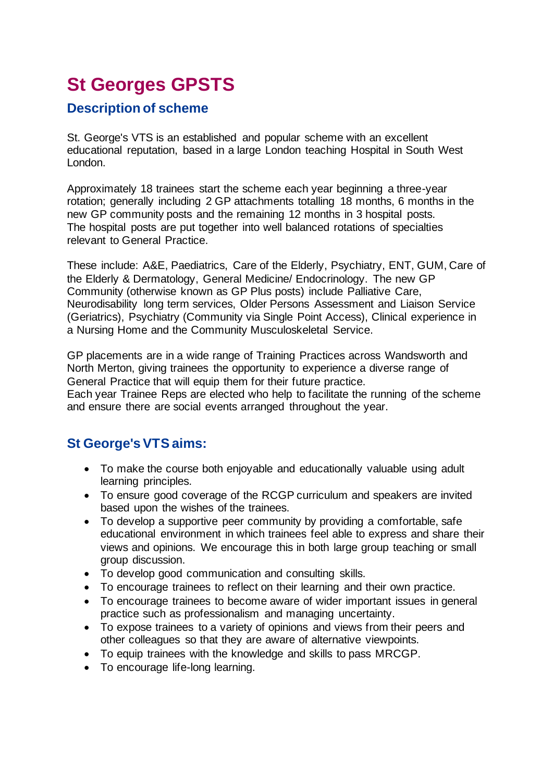# **St Georges GPSTS**

## **Description of scheme**

St. George's VTS is an established and popular scheme with an excellent educational reputation, based in a large London teaching Hospital in South West London.

Approximately 18 trainees start the scheme each year beginning a three-year rotation; generally including 2 GP attachments totalling 18 months, 6 months in the new GP community posts and the remaining 12 months in 3 hospital posts. The hospital posts are put together into well balanced rotations of specialties relevant to General Practice.

These include: A&E, Paediatrics, Care of the Elderly, Psychiatry, ENT, GUM, Care of the Elderly & Dermatology, General Medicine/ Endocrinology. The new GP Community (otherwise known as GP Plus posts) include Palliative Care, Neurodisability long term services, Older Persons Assessment and Liaison Service (Geriatrics), Psychiatry (Community via Single Point Access), Clinical experience in a Nursing Home and the Community Musculoskeletal Service.

GP placements are in a wide range of Training Practices across Wandsworth and North Merton, giving trainees the opportunity to experience a diverse range of General Practice that will equip them for their future practice.

Each year Trainee Reps are elected who help to facilitate the running of the scheme and ensure there are social events arranged throughout the year.

# **St George's VTS aims:**

- To make the course both enjoyable and educationally valuable using adult learning principles.
- To ensure good coverage of the RCGP curriculum and speakers are invited based upon the wishes of the trainees.
- To develop a supportive peer community by providing a comfortable, safe educational environment in which trainees feel able to express and share their views and opinions. We encourage this in both large group teaching or small group discussion.
- To develop good communication and consulting skills.
- To encourage trainees to reflect on their learning and their own practice.
- To encourage trainees to become aware of wider important issues in general practice such as professionalism and managing uncertainty.
- To expose trainees to a variety of opinions and views from their peers and other colleagues so that they are aware of alternative viewpoints.
- To equip trainees with the knowledge and skills to pass MRCGP.
- To encourage life-long learning.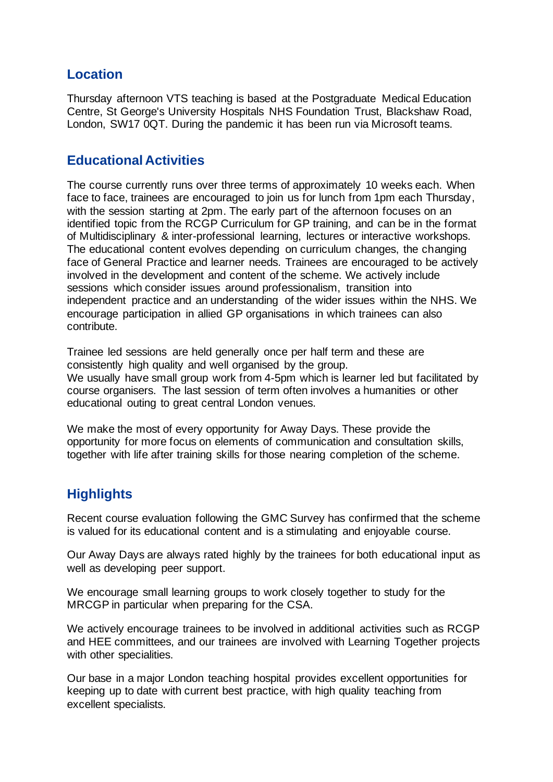## **Location**

Thursday afternoon VTS teaching is based at the Postgraduate Medical Education Centre, St George's University Hospitals NHS Foundation Trust, Blackshaw Road, London, SW17 0QT. During the pandemic it has been run via Microsoft teams.

# **Educational Activities**

The course currently runs over three terms of approximately 10 weeks each. When face to face, trainees are encouraged to join us for lunch from 1pm each Thursday, with the session starting at 2pm. The early part of the afternoon focuses on an identified topic from the RCGP Curriculum for GP training, and can be in the format of Multidisciplinary & inter-professional learning, lectures or interactive workshops. The educational content evolves depending on curriculum changes, the changing face of General Practice and learner needs. Trainees are encouraged to be actively involved in the development and content of the scheme. We actively include sessions which consider issues around professionalism, transition into independent practice and an understanding of the wider issues within the NHS. We encourage participation in allied GP organisations in which trainees can also contribute.

Trainee led sessions are held generally once per half term and these are consistently high quality and well organised by the group. We usually have small group work from 4-5pm which is learner led but facilitated by course organisers. The last session of term often involves a humanities or other educational outing to great central London venues.

We make the most of every opportunity for Away Days. These provide the opportunity for more focus on elements of communication and consultation skills, together with life after training skills for those nearing completion of the scheme.

# **Highlights**

Recent course evaluation following the GMC Survey has confirmed that the scheme is valued for its educational content and is a stimulating and enjoyable course.

Our Away Days are always rated highly by the trainees for both educational input as well as developing peer support.

We encourage small learning groups to work closely together to study for the MRCGP in particular when preparing for the CSA.

We actively encourage trainees to be involved in additional activities such as RCGP and HEE committees, and our trainees are involved with Learning Together projects with other specialities.

Our base in a major London teaching hospital provides excellent opportunities for keeping up to date with current best practice, with high quality teaching from excellent specialists.